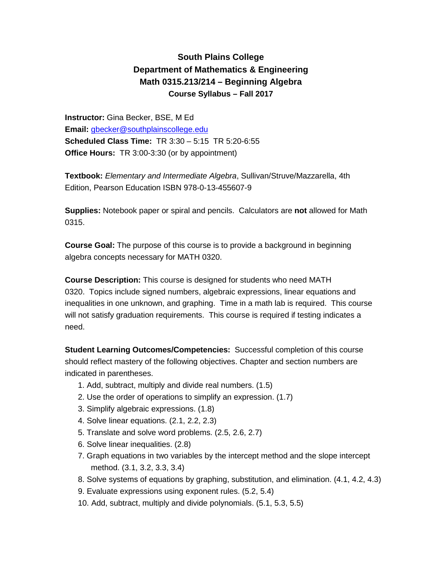## **South Plains College Department of Mathematics & Engineering Math 0315.213/214 – Beginning Algebra Course Syllabus – Fall 2017**

**Instructor:** Gina Becker, BSE, M Ed **Email:** [gbecker@southplainscollege.edu](mailto:gbecker@southplainscollege.edu) **Scheduled Class Time:** TR 3:30 – 5:15 TR 5:20-6:55 **Office Hours:** TR 3:00-3:30 (or by appointment)

**Textbook:** *Elementary and Intermediate Algebra*, Sullivan/Struve/Mazzarella, 4th Edition, Pearson Education ISBN 978-0-13-455607-9

**Supplies:** Notebook paper or spiral and pencils. Calculators are **not** allowed for Math 0315.

**Course Goal:** The purpose of this course is to provide a background in beginning algebra concepts necessary for MATH 0320.

**Course Description:** This course is designed for students who need MATH 0320. Topics include signed numbers, algebraic expressions, linear equations and inequalities in one unknown, and graphing. Time in a math lab is required. This course will not satisfy graduation requirements. This course is required if testing indicates a need.

**Student Learning Outcomes/Competencies:** Successful completion of this course should reflect mastery of the following objectives. Chapter and section numbers are indicated in parentheses.

- 1. Add, subtract, multiply and divide real numbers. (1.5)
- 2. Use the order of operations to simplify an expression. (1.7)
- 3. Simplify algebraic expressions. (1.8)
- 4. Solve linear equations. (2.1, 2.2, 2.3)
- 5. Translate and solve word problems. (2.5, 2.6, 2.7)
- 6. Solve linear inequalities. (2.8)
- 7. Graph equations in two variables by the intercept method and the slope intercept method. (3.1, 3.2, 3.3, 3.4)
- 8. Solve systems of equations by graphing, substitution, and elimination. (4.1, 4.2, 4.3)
- 9. Evaluate expressions using exponent rules. (5.2, 5.4)
- 10. Add, subtract, multiply and divide polynomials. (5.1, 5.3, 5.5)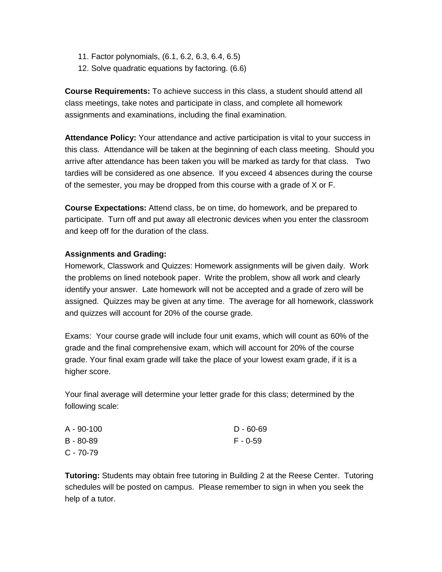- 11. Factor polynomials, (6.1, 6.2, 6.3, 6.4, 6.5)
- 12. Solve quadratic equations by factoring. (6.6)

**Course Requirements:** To achieve success in this class, a student should attend all class meetings, take notes and participate in class, and complete all homework assignments and examinations, including the final examination.

**Attendance Policy:** Your attendance and active participation is vital to your success in this class. Attendance will be taken at the beginning of each class meeting. Should you arrive after attendance has been taken you will be marked as tardy for that class. Two tardies will be considered as one absence. If you exceed 4 absences during the course of the semester, you may be dropped from this course with a grade of X or F.

**Course Expectations:** Attend class, be on time, do homework, and be prepared to participate. Turn off and put away all electronic devices when you enter the classroom and keep off for the duration of the class.

## **Assignments and Grading:**

Homework, Classwork and Quizzes: Homework assignments will be given daily. Work the problems on lined notebook paper. Write the problem, show all work and clearly identify your answer. Late homework will not be accepted and a grade of zero will be assigned. Quizzes may be given at any time. The average for all homework, classwork and quizzes will account for 20% of the course grade.

Exams: Your course grade will include four unit exams, which will count as 60% of the grade and the final comprehensive exam, which will account for 20% of the course grade. Your final exam grade will take the place of your lowest exam grade, if it is a higher score.

Your final average will determine your letter grade for this class; determined by the following scale:

| A - 90-100    | $D - 60 - 69$ |
|---------------|---------------|
| $B - 80 - 89$ | F - 0-59      |
| $C - 70-79$   |               |

**Tutoring:** Students may obtain free tutoring in Building 2 at the Reese Center. Tutoring schedules will be posted on campus. Please remember to sign in when you seek the help of a tutor.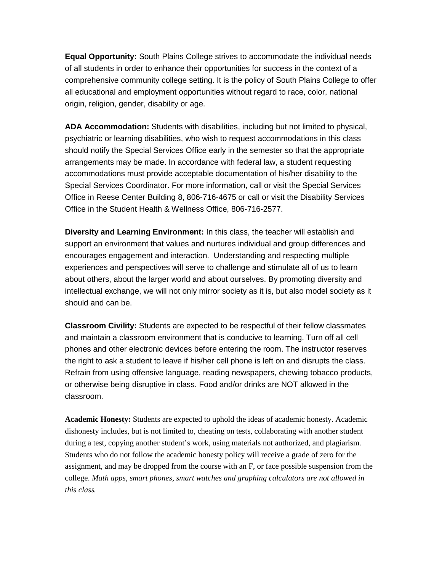**Equal Opportunity:** South Plains College strives to accommodate the individual needs of all students in order to enhance their opportunities for success in the context of a comprehensive community college setting. It is the policy of South Plains College to offer all educational and employment opportunities without regard to race, color, national origin, religion, gender, disability or age.

**ADA Accommodation:** Students with disabilities, including but not limited to physical, psychiatric or learning disabilities, who wish to request accommodations in this class should notify the Special Services Office early in the semester so that the appropriate arrangements may be made. In accordance with federal law, a student requesting accommodations must provide acceptable documentation of his/her disability to the Special Services Coordinator. For more information, call or visit the Special Services Office in Reese Center Building 8, 806-716-4675 or call or visit the Disability Services Office in the Student Health & Wellness Office, 806-716-2577.

**Diversity and Learning Environment:** In this class, the teacher will establish and support an environment that values and nurtures individual and group differences and encourages engagement and interaction. Understanding and respecting multiple experiences and perspectives will serve to challenge and stimulate all of us to learn about others, about the larger world and about ourselves. By promoting diversity and intellectual exchange, we will not only mirror society as it is, but also model society as it should and can be.

**Classroom Civility:** Students are expected to be respectful of their fellow classmates and maintain a classroom environment that is conducive to learning. Turn off all cell phones and other electronic devices before entering the room. The instructor reserves the right to ask a student to leave if his/her cell phone is left on and disrupts the class. Refrain from using offensive language, reading newspapers, chewing tobacco products, or otherwise being disruptive in class. Food and/or drinks are NOT allowed in the classroom.

**Academic Honesty:** Students are expected to uphold the ideas of academic honesty. Academic dishonesty includes, but is not limited to, cheating on tests, collaborating with another student during a test, copying another student's work, using materials not authorized, and plagiarism. Students who do not follow the academic honesty policy will receive a grade of zero for the assignment, and may be dropped from the course with an F, or face possible suspension from the college. *Math apps, smart phones, smart watches and graphing calculators are not allowed in this class.*